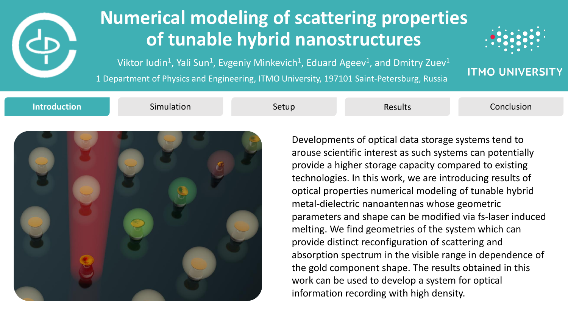

## **Numerical modeling of scattering properties of tunable hybrid nanostructures**

1 Department of Physics and Engineering, ITMO University, 197101 Saint-Petersburg, Russia Viktor Iudin<sup>1</sup>, Yali Sun<sup>1</sup>, Evgeniy Minkevich<sup>1</sup>, Eduard Ageev<sup>1</sup>, and Dmitry Zuev<sup>1</sup>



**ITMO UNIVERSITY** 

**Introduction Simulation Setup** Setup Results Conclusion



Developments of optical data storage systems tend to arouse scientific interest as such systems can potentially provide a higher storage capacity compared to existing technologies. In this work, we are introducing results of optical properties numerical modeling of tunable hybrid metal-dielectric nanoantennas whose geometric parameters and shape can be modified via fs-laser induced melting. We find geometries of the system which can provide distinct reconfiguration of scattering and absorption spectrum in the visible range in dependence of the gold component shape. The results obtained in this work can be used to develop a system for optical information recording with high density.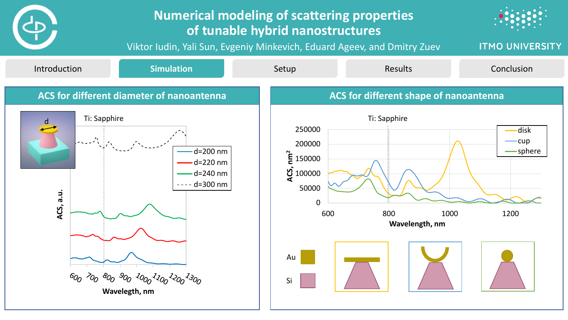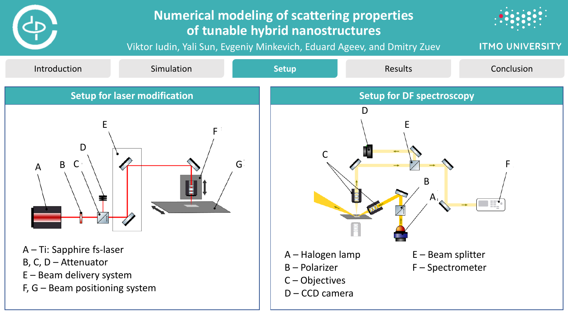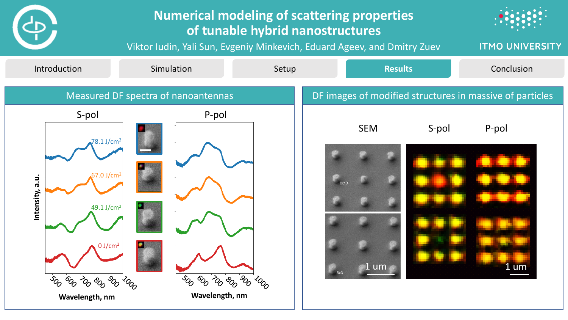